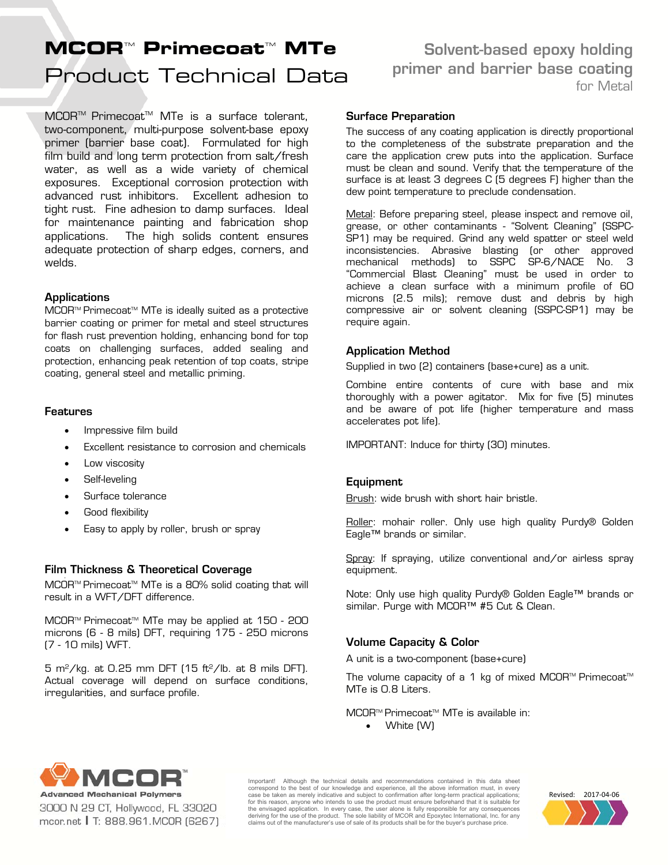# Product Technical Data **MCOR™ Primecoat™ MTe**

MCOR™ Primecoat™ MTe is a surface tolerant, two-component, multi-purpose solvent-base epoxy primer (barrier base coat). Formulated for high film build and long term protection from salt/fresh water, as well as a wide variety of chemical exposures. Exceptional corrosion protection with advanced rust inhibitors. Excellent adhesion to tight rust. Fine adhesion to damp surfaces. Ideal for maintenance painting and fabrication shop applications. The high solids content ensures adequate protection of sharp edges, corners, and welds.

# **Applications**

MCOR™ Primecoat™ MTe is ideally suited as a protective barrier coating or primer for metal and steel structures for flash rust prevention holding, enhancing bond for top coats on challenging surfaces, added sealing and protection, enhancing peak retention of top coats, stripe coating, general steel and metallic priming.

# Features

- Impressive film build
- Excellent resistance to corrosion and chemicals
- Low viscosity
- Self-leveling
- Surface tolerance
- Good flexibility
- Easy to apply by roller, brush or spray

# Film Thickness & Theoretical Coverage

MCOR<sup>™</sup> Primecoat<sup>™</sup> MTe is a 80% solid coating that will result in a WFT/DFT difference.

MCOR<sup>™</sup> Primecoat<sup>™</sup> MTe may be applied at 150 - 200 microns (6 - 8 mils) DFT, requiring 175 - 250 microns (7 - 10 mils) WFT.

5 m<sup>2</sup>/kg. at 0.25 mm DFT (15 ft<sup>2</sup>/lb. at 8 mils DFT). Actual coverage will depend on surface conditions, irregularities, and surface profile.

# Solvent-based epoxy holding primer and barrier base coating for Metal

#### Surface Preparation

The success of any coating application is directly proportional to the completeness of the substrate preparation and the care the application crew puts into the application. Surface must be clean and sound. Verify that the temperature of the surface is at least 3 degrees C (5 degrees F) higher than the dew point temperature to preclude condensation.

Metal: Before preparing steel, please inspect and remove oil, grease, or other contaminants - "Solvent Cleaning" (SSPC-SP1) may be required. Grind any weld spatter or steel weld inconsistencies. Abrasive blasting (or other approved mechanical methods) to SSPC SP-6/NACE No. 3 "Commercial Blast Cleaning" must be used in order to achieve a clean surface with a minimum profile of 60 microns (2.5 mils); remove dust and debris by high compressive air or solvent cleaning (SSPC-SP1) may be require again.

# Application Method

Supplied in two (2) containers (base+cure) as a unit.

Combine entire contents of cure with base and mix thoroughly with a power agitator. Mix for five (5) minutes and be aware of pot life (higher temperature and mass accelerates pot life).

IMPORTANT: Induce for thirty (30) minutes.

# Equipment

Brush: wide brush with short hair bristle.

Roller: mohair roller. Only use high quality Purdy® Golden Eagle™ brands or similar.

Spray: If spraying, utilize conventional and/or airless spray equipment.

Note: Only use high quality Purdy® Golden Eagle™ brands or similar. Purge with MCOR<sup>™</sup> #5 Cut & Clean.

# Volume Capacity & Color

A unit is a two-component (base+cure)

The volume capacity of a 1 kg of mixed MCOR™ Primecoat<sup>™</sup> MTe is 0.8 Liters.

MCOR<sup>™</sup> Primecoat<sup>™</sup> MTe is available in:

White (W)



3000 N 29 CT, Hollywood, FL 33020 mcor.net | T: 888.961.MCOR (6267) Important! Although the technical details and recommendations contained in this data sheet correspond to the best of our knowledge and experience, all the above information must, in every<br>case be taken as merely indicative and subject to confirmation after long-term practical applications;<br>for this reason, anyon the envisaged application. In every case, the user alone is fully responsible for any consequences<br>deriving for the use of the product. The sole liability of MCOR and Epoxytec International, Inc. for any claims out of the manufacturer's use of sale of its products shall be for the buyer's purchase price.